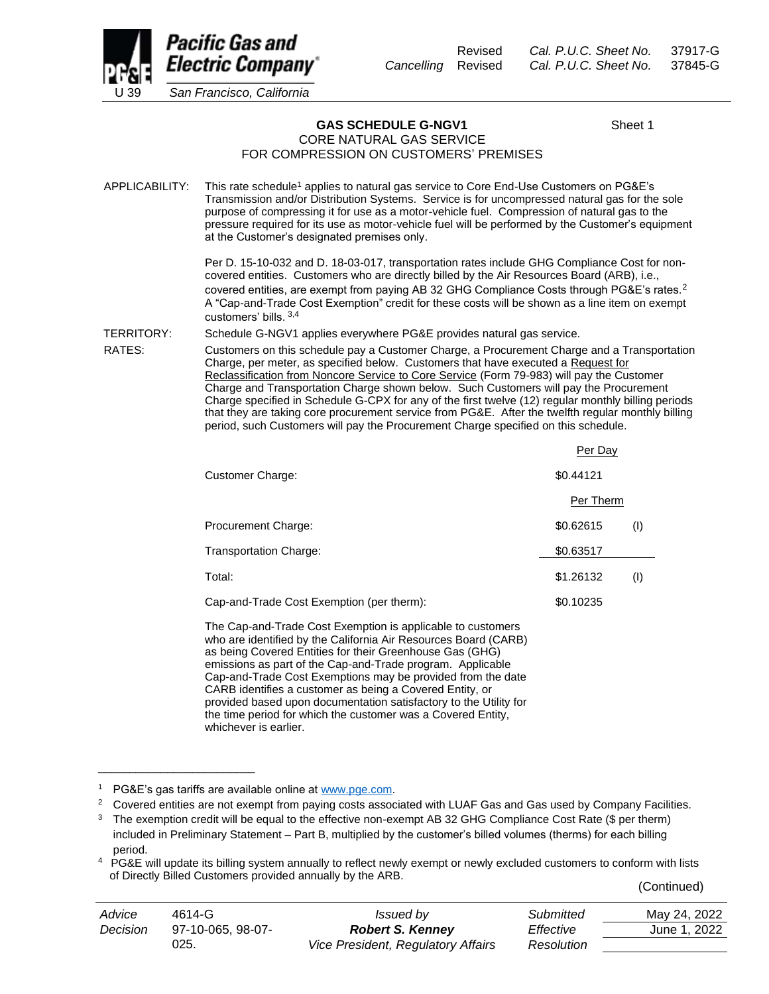

Revised *Cal. P.U.C. Sheet No.* 37917-G *Cancelling* Revised *Cal. P.U.C. Sheet No.* 37845-G

GAS SCHEDULE G-NGV1 Sheet 1 CORE NATURAL GAS SERVICE

## FOR COMPRESSION ON CUSTOMERS' PREMISES

APPLICABILITY: This rate schedule<sup>1</sup> applies to natural gas service to Core End-Use Customers on PG&E's Transmission and/or Distribution Systems. Service is for uncompressed natural gas for the sole purpose of compressing it for use as a motor-vehicle fuel. Compression of natural gas to the pressure required for its use as motor-vehicle fuel will be performed by the Customer's equipment at the Customer's designated premises only.

> Per D. 15-10-032 and D. 18-03-017, transportation rates include GHG Compliance Cost for noncovered entities. Customers who are directly billed by the Air Resources Board (ARB), i.e., covered entities, are exempt from paying AB 32 GHG Compliance Costs through PG&E's rates.<sup>2</sup> A "Cap-and-Trade Cost Exemption" credit for these costs will be shown as a line item on exempt customers' bills. 3,4

TERRITORY: Schedule G-NGV1 applies everywhere PG&E provides natural gas service.

RATES: Customers on this schedule pay a Customer Charge, a Procurement Charge and a Transportation Charge, per meter, as specified below. Customers that have executed a Request for Reclassification from Noncore Service to Core Service (Form 79-983) will pay the Customer Charge and Transportation Charge shown below. Such Customers will pay the Procurement Charge specified in Schedule G-CPX for any of the first twelve (12) regular monthly billing periods that they are taking core procurement service from PG&E. After the twelfth regular monthly billing period, such Customers will pay the Procurement Charge specified on this schedule.

|                                           | Per Day          |
|-------------------------------------------|------------------|
| Customer Charge:                          | \$0.44121        |
|                                           | Per Therm        |
| Procurement Charge:                       | \$0.62615<br>(1) |
| Transportation Charge:                    | \$0.63517        |
| Total:                                    | \$1.26132<br>(1) |
| Cap-and-Trade Cost Exemption (per therm): | \$0.10235        |
|                                           |                  |

The Cap-and-Trade Cost Exemption is applicable to customers who are identified by the California Air Resources Board (CARB) as being Covered Entities for their Greenhouse Gas (GHG) emissions as part of the Cap-and-Trade program. Applicable Cap-and-Trade Cost Exemptions may be provided from the date CARB identifies a customer as being a Covered Entity, or provided based upon documentation satisfactory to the Utility for the time period for which the customer was a Covered Entity, whichever is earlier.

\_\_\_\_\_\_\_\_\_\_\_\_\_\_\_\_\_\_\_\_\_\_\_\_\_

<sup>2</sup> Covered entities are not exempt from paying costs associated with LUAF Gas and Gas used by Company Facilities.

(Continued)

| Advice   | $4614 - G$        | <i>Issued by</i>                          | Submitted  | May 24, 2022 |
|----------|-------------------|-------------------------------------------|------------|--------------|
| Decision | 97-10-065, 98-07- | <b>Robert S. Kenney</b>                   | Effective  | June 1. 2022 |
|          | 025.              | <b>Vice President, Regulatory Affairs</b> | Resolution |              |

<sup>&</sup>lt;sup>1</sup> PG&E's gas tariffs are available online a[t www.pge.com.](http://www.pge.com/)

<sup>&</sup>lt;sup>3</sup> The exemption credit will be equal to the effective non-exempt AB 32 GHG Compliance Cost Rate (\$ per therm) included in Preliminary Statement – Part B, multiplied by the customer's billed volumes (therms) for each billing period.

<sup>&</sup>lt;sup>4</sup> PG&E will update its billing system annually to reflect newly exempt or newly excluded customers to conform with lists of Directly Billed Customers provided annually by the ARB.